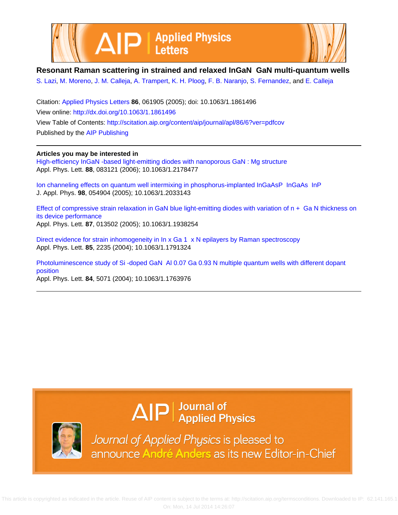



## **Resonant Raman scattering in strained and relaxed InGaN GaN multi-quantum wells**

[S. Lazi,](http://scitation.aip.org/search?value1=S.+Lazi&option1=author) [M. Moreno,](http://scitation.aip.org/search?value1=M.+Moreno&option1=author) [J. M. Calleja](http://scitation.aip.org/search?value1=J.+M.+Calleja&option1=author), [A. Trampert,](http://scitation.aip.org/search?value1=A.+Trampert&option1=author) [K. H. Ploog,](http://scitation.aip.org/search?value1=K.+H.+Ploog&option1=author) [F. B. Naranjo](http://scitation.aip.org/search?value1=F.+B.+Naranjo&option1=author), [S. Fernandez](http://scitation.aip.org/search?value1=S.+Fernandez&option1=author), and [E. Calleja](http://scitation.aip.org/search?value1=E.+Calleja&option1=author)

Citation: [Applied Physics Letters](http://scitation.aip.org/content/aip/journal/apl?ver=pdfcov) **86**, 061905 (2005); doi: 10.1063/1.1861496 View online: <http://dx.doi.org/10.1063/1.1861496> View Table of Contents: <http://scitation.aip.org/content/aip/journal/apl/86/6?ver=pdfcov> Published by the [AIP Publishing](http://scitation.aip.org/content/aip?ver=pdfcov)

**Articles you may be interested in**

[High-efficiency InGaN -based light-emitting diodes with nanoporous GaN : Mg structure](http://scitation.aip.org/content/aip/journal/apl/88/8/10.1063/1.2178477?ver=pdfcov) Appl. Phys. Lett. **88**, 083121 (2006); 10.1063/1.2178477

[Ion channeling effects on quantum well intermixing in phosphorus-implanted InGaAsP InGaAs InP](http://scitation.aip.org/content/aip/journal/jap/98/5/10.1063/1.2033143?ver=pdfcov) J. Appl. Phys. **98**, 054904 (2005); 10.1063/1.2033143

[Effect of compressive strain relaxation in GaN blue light-emitting diodes with variation of n + Ga N thickness on](http://scitation.aip.org/content/aip/journal/apl/87/1/10.1063/1.1938254?ver=pdfcov) [its device performance](http://scitation.aip.org/content/aip/journal/apl/87/1/10.1063/1.1938254?ver=pdfcov) Appl. Phys. Lett. **87**, 013502 (2005); 10.1063/1.1938254

[Direct evidence for strain inhomogeneity in In x Ga 1 x N epilayers by Raman spectroscopy](http://scitation.aip.org/content/aip/journal/apl/85/12/10.1063/1.1791324?ver=pdfcov) Appl. Phys. Lett. **85**, 2235 (2004); 10.1063/1.1791324

[Photoluminescence study of Si -doped GaN Al 0.07 Ga 0.93 N multiple quantum wells with different dopant](http://scitation.aip.org/content/aip/journal/apl/84/25/10.1063/1.1763976?ver=pdfcov) [position](http://scitation.aip.org/content/aip/journal/apl/84/25/10.1063/1.1763976?ver=pdfcov) Appl. Phys. Lett. **84**, 5071 (2004); 10.1063/1.1763976

## $\Delta$   $\vert P \vert$  Journal of Applied Physics



Journal of Applied Physics is pleased to announce André Anders as its new Editor-in-Chief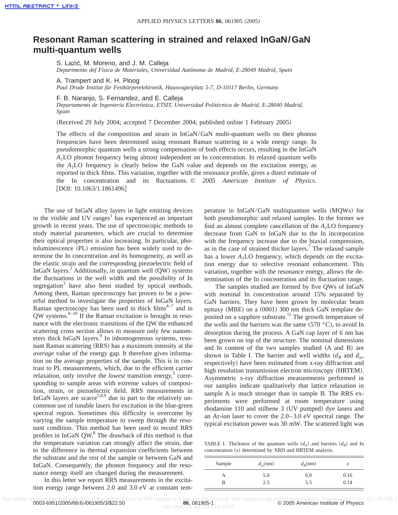## **Resonant Raman scattering in strained and relaxed InGaN/GaN multi-quantum wells**

S. Lazić, M. Moreno, and J. M. Calleja

*Departmento def Física de Materiales, Universidad Autónoma de Madrid, E-28049 Madrid, Spain*

A. Trampert and K. H. Ploog

*Paul Drude Institut für Festkörperelektronik, Hausvogteiplatz 5-7, D-10117 Berlin, Germany*

F. B. Naranjo, S. Fernandez, and E. Calleja

*Departamento de Ingeniería Electrónica, ETSIT, Universidad Politécnica de Madrid, E-28040 Madrid, Spain*

(Received 29 July 2004; accepted 7 December 2004; published online 1 February 2005)

The effects of the composition and strain in InGaN/GaN multi-quantum wells on their phonon frequencies have been determined using resonant Raman scattering in a wide energy range. In pseudomorphic quantum wells a strong compensation of both effects occurs, resulting in the InGaN *A*1LO phonon frequency being almost independent on In concentration. In relaxed quantum wells the  $A_1LO$  frequency is clearly below the GaN value and depends on the excitation energy, as reported in thick films. This variation, together with the resonance profile, gives a direct estimate of the In concentration and its fluctuations. © *2005 American Institute of Physics*.  $[DOI: 10.1063/1.1861496]$ 

The use of InGaN alloy layers in light emitting devices in the visible and UV ranges<sup>1</sup> has experienced an important growth in recent years. The use of spectroscopic methods to study material parameters, which are crucial to determine their optical properties is also increasing. In particular, photoluminescence (PL) emission has been widely used to determine the In concentration and its homogeneity, as well as the elastic strain and the corresponding piezoelectric field of InGaN layers.<sup>2</sup> Additionally, in quantum well  $(QW)$  systems the fluctuations in the well width and the possibility of In segregation $3$  have also been studied by optical methods. Among them, Raman spectroscopy has proven to be a powerful method to investigate the properties of InGaN layers. Raman spectroscopy has been used in thick  $\text{films}^{4-7}$  and in  $\rm QW$  systems.<sup>8–10</sup> If the Raman excitation is brought in resonance with the electronic transitions of the QW the enhanced scattering cross section allows to measure only few nanometers thick InGaN layers.<sup>9</sup> In inhomogeneous systems, resonant Raman scattering (RRS) has a maximum intensity at the *average* value of the energy gap. It therefore gives information on the average properties of the sample. This is in contrast to PL measurements, which, due to the efficient carrier relaxation, only involve the *lowest* transition energy,<sup>5</sup> corresponding to sample areas with extreme values of composition, strain, or piezoelectric field. RRS measurements in InGaN layers are scarce<sup>5,8,9</sup> due in part to the relatively uncommon use of tunable lasers for excitation in the blue-green spectral region. Sometimes this difficulty is overcome by varying the sample temperature to sweep through the resonant condition. This method has been used to record RRS profiles in InGaN QW.<sup>8</sup> The drawback of this method is that the temperature variation can strongly affect the strain, due to the difference in thermal expansion coefficients between the substrate and the rest of the sample or between GaN and InGaN. Consequently, the phonon frequency and the resonance energy itself are changed during the measurement.

In this letter we report RRS measurements in the excitation energy range between 2.0 and 3.0 eV at constant temperature in InGaN/GaN multiquantum wells  $(MQWs)$  for both pseudomorphic and relaxed samples. In the former we find an almost complete cancellation of the *A*1LO frequency decrease from GaN to InGaN due to the In incorporation with the frequency increase due to the biaxial compression, as in the case of strained thicker layers.<sup>7</sup> The relaxed sample has a lower  $A_1$ LO frequency, which depends on the excitation energy due to selective resonant enhancement. This variation, together with the resonance energy, allows the determination of the In concentration and its fluctuation range.

The samples studied are formed by five QWs of InGaN with nominal In concentration around 15% separated by GaN barriers. They have been grown by molecular beam epitaxy (MBE) on a  $(0001)$  300 nm thick GaN template deposited on a sapphire substrate.<sup>11</sup> The growth temperature of the wells and the barriers was the same  $(570 \degree C)$ , to avoid In desorption during the process. A GaN cap layer of 6 nm has been grown on top of the structure. The nominal dimensions and In content of the two samples studied (A and B) are shown in Table I. The barrier and well widths  $(d_B \text{ and } d_w,$ respectively) have been estimated from x-ray diffraction and high resolution transmission electron microscopy (HRTEM). Asymmetric x-ray diffraction measurements performed in our samples indicate qualitatively that lattice relaxation in sample A is much stronger than in sample B. The RRS experiments were performed at room temperature using rhodamine 110 and stilbene 3 (UV pumped) dye lasers and an Ar-ion laser to cover the 2.0–3.0 eV spectral range. The typical excitation power was 30 mW. The scattered light was

TABLE I. Thickness of the quantum wells  $(d_w)$  and barriers  $(d_B)$  and In concentration  $(x)$  determined by XRD and HRTEM analysis.

| Sample | $d_w(nm)$ | $d_R$ (nm) | $\boldsymbol{\chi}$ |
|--------|-----------|------------|---------------------|
|        | 5.0       | 6.0        | 0.16                |
| B      | 2.5       | 5.5        | 0.14                |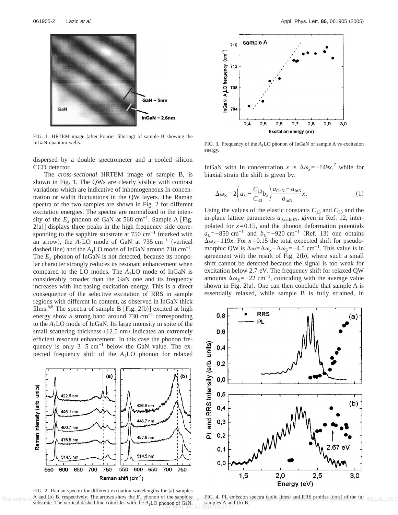

FIG. 1. HRTEM image (after Fourier filtering) of sample B showing the InGaN quantum wells.

dispersed by a double spectrometer and a cooled silicon CCD detector.

The *cross-sectional* HRTEM image of sample B, is shown in Fig. 1. The QWs are clearly visible with contrast variations which are indicative of inhomogeneous In concentration or width fluctuations in the QW layers. The Raman spectra of the two samples are shown in Fig. 2 for different excitation energies. The spectra are normalized to the intensity of the  $E_2$  phonon of GaN at 568 cm<sup>-1</sup>. Sample A [Fig.  $2(a)$ ] displays three peaks in the high frequency side corresponding to the sapphire substrate at  $750 \text{ cm}^{-1}$  (marked with an arrow), the  $A_1$ LO mode of GaN at 735 cm<sup>-1</sup> (vertical dashed line) and the  $A_1$ LO mode of InGaN around 710 cm<sup>-1</sup>. The  $E_2$  phonon of InGaN is not detected, because its nonpolar character strongly reduces its resonant enhancement when compared to the LO modes. The *A*1LO mode of InGaN is considerably broader than the GaN one and its frequency increases with increasing excitation energy. This is a direct consequence of the selective excitation of RRS in sample regions with different In content, as observed in InGaN thick films.<sup>5,8</sup> The spectra of sample B [Fig. 2(b)] excited at high energy show a strong band around  $730 \text{ cm}^{-1}$  corresponding to the *A*1LO mode of InGaN. Its large intensity in spite of the small scattering thickness  $(12.5 \text{ nm})$  indicates an extremely efficient resonant enhancement. In this case the phonon frequency is only  $3-5$  cm<sup>-1</sup> below the GaN value. The expected frequency shift of the *A*1LO phonon for relaxed



FIG. 2. Raman spectra for different excitation wavelengths for (a) samples A and (b) B, respectively. The arrows show the  $E_g$  phonon of the sapphire substrate. The vertical dashed line coincides with the *A*1LO phonon of GaN.



FIG. 3. Frequency of the *A*1LO phonon of InGaN of sample A vs excitation energy.

InGaN with In concentration *x* is  $\Delta \omega_x = -149x$ ,<sup>7</sup> while for biaxial strain the shift is given by:

$$
\Delta \omega_{\rm S} = 2 \left( a_{\lambda} - \frac{C_{13}}{C_{33}} b_{\lambda} \right) \frac{a_{\rm GaN} - a_{\rm InN}}{a_{\rm InN}} x.
$$
 (1)

Using the values of the elastic constants  $C_{13}$  and  $C_{33}$  and the in-plane lattice parameters  $a_{(Ga,In)N}$ , given in Ref. 12, interpolated for  $x=0.15$ , and the phonon deformation potentials  $a_{\lambda}$ =−850 cm<sup>-1</sup> and  $b_{\lambda}$ =−920 cm<sup>-1</sup> (Ref. 13) one obtains  $\Delta \omega_s = 119x$ . For  $x = 0.15$  the total expected shift for pseudomorphic QW is  $\Delta \omega = \Delta \omega_r - \Delta \omega_s = -4.5$  cm<sup>-1</sup>. This value is in agreement with the result of Fig.  $2(b)$ , where such a small shift cannot be detected because the signal is too weak for excitation below 2.7 eV. The frequency shift for relaxed QW amounts  $\Delta \omega_X = -22$  cm<sup>-1</sup>, coinciding with the average value shown in Fig.  $2(a)$ . One can then conclude that sample A is essentially relaxed, while sample B is fully strained, in



This article is Applicible as respectively the arrows show the E<sub>C</sub> phonon of the sapplice to the G<sub>rins</sub> at mission spectra (solid lines) and RRS profiles (dots) of the (a) 62.141.165.1 nonon of GaN.<br>On: Mon, 14 Jul 2014 14:26:07